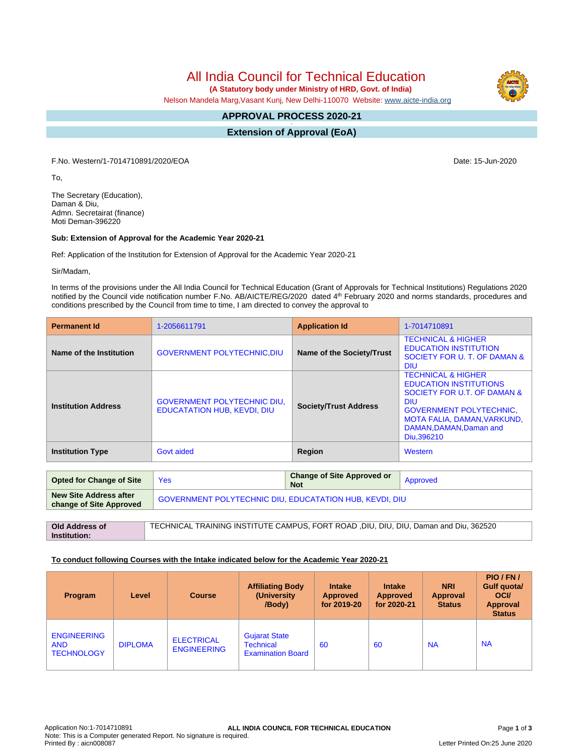# All India Council for Technical Education

 **(A Statutory body under Ministry of HRD, Govt. of India)**

Nelson Mandela Marg,Vasant Kunj, New Delhi-110070 Website: [www.aicte-india.org](http://www.aicte-india.org)

#### **APPROVAL PROCESS 2020-21 -**

**Extension of Approval (EoA)**

F.No. Western/1-7014710891/2020/EOA Date: 15-Jun-2020

To,

The Secretary (Education), Daman & Diu, Admn. Secretairat (finance) Moti Deman-396220

#### **Sub: Extension of Approval for the Academic Year 2020-21**

Ref: Application of the Institution for Extension of Approval for the Academic Year 2020-21

Sir/Madam,

**Institution:**

In terms of the provisions under the All India Council for Technical Education (Grant of Approvals for Technical Institutions) Regulations 2020 notified by the Council vide notification number F.No. AB/AICTE/REG/2020 dated 4<sup>th</sup> February 2020 and norms standards, procedures and conditions prescribed by the Council from time to time, I am directed to convey the approval to

| <b>Permanent Id</b>        | 1-2056611791                                                             | <b>Application Id</b>        | 1-7014710891                                                                                                                                                                                                          |  |
|----------------------------|--------------------------------------------------------------------------|------------------------------|-----------------------------------------------------------------------------------------------------------------------------------------------------------------------------------------------------------------------|--|
| Name of the Institution    | <b>GOVERNMENT POLYTECHNIC, DIU</b>                                       | Name of the Society/Trust    | <b>TECHNICAL &amp; HIGHER</b><br><b>EDUCATION INSTITUTION</b><br>SOCIETY FOR U. T. OF DAMAN &<br><b>DIU</b>                                                                                                           |  |
| <b>Institution Address</b> | <b>GOVERNMENT POLYTECHNIC DIU.</b><br><b>EDUCATATION HUB. KEVDI. DIU</b> | <b>Society/Trust Address</b> | <b>TECHNICAL &amp; HIGHER</b><br><b>EDUCATION INSTITUTIONS</b><br>SOCIETY FOR U.T. OF DAMAN &<br><b>DIU</b><br><b>GOVERNMENT POLYTECHNIC.</b><br>MOTA FALIA, DAMAN, VARKUND,<br>DAMAN, DAMAN, Daman and<br>Diu.396210 |  |
| <b>Institution Type</b>    | Govt aided                                                               | Region                       | Western                                                                                                                                                                                                               |  |

| <b>Opted for Change of Site</b>                   | Yes                                                                                  | <b>Change of Site Approved or</b><br><b>Not</b> | Approved |  |  |
|---------------------------------------------------|--------------------------------------------------------------------------------------|-------------------------------------------------|----------|--|--|
| New Site Address after<br>change of Site Approved | <b>GOVERNMENT POLYTECHNIC DIU, EDUCATATION HUB, KEVDI, DIU</b>                       |                                                 |          |  |  |
|                                                   |                                                                                      |                                                 |          |  |  |
| Old Address of                                    | TECHNICAL TRAINING INSTITUTE CAMPUS, FORT ROAD, DIU, DIU, DIU, Daman and Diu, 362520 |                                                 |          |  |  |

### **To conduct following Courses with the Intake indicated below for the Academic Year 2020-21**

| Program                                               | Level          | <b>Course</b>                           | <b>Affiliating Body</b><br>(University<br>/Body)                     | <b>Intake</b><br><b>Approved</b><br>for 2019-20 | <b>Intake</b><br><b>Approved</b><br>for 2020-21 | <b>NRI</b><br><b>Approval</b><br><b>Status</b> | PIO/FN/<br>Gulf quota/<br><b>OCI</b><br><b>Approval</b><br><b>Status</b> |
|-------------------------------------------------------|----------------|-----------------------------------------|----------------------------------------------------------------------|-------------------------------------------------|-------------------------------------------------|------------------------------------------------|--------------------------------------------------------------------------|
| <b>ENGINEERING</b><br><b>AND</b><br><b>TECHNOLOGY</b> | <b>DIPLOMA</b> | <b>ELECTRICAL</b><br><b>ENGINEERING</b> | <b>Gujarat State</b><br><b>Technical</b><br><b>Examination Board</b> | 60                                              | 60                                              | <b>NA</b>                                      | <b>NA</b>                                                                |



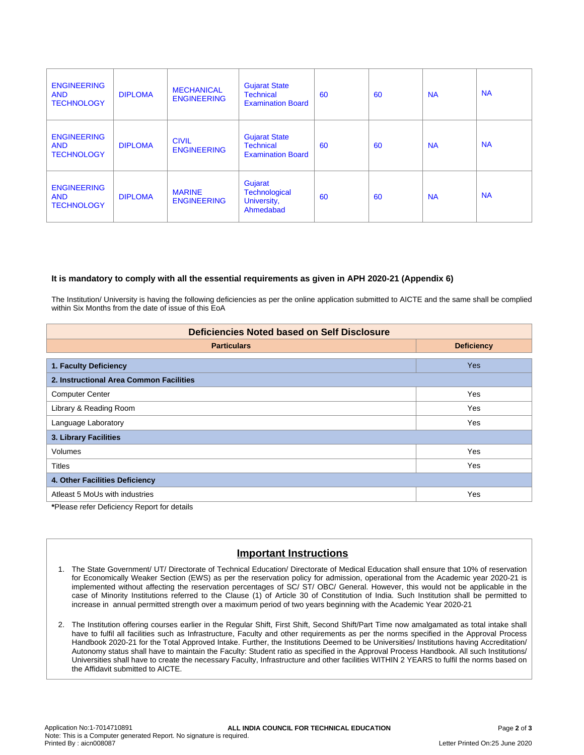| <b>ENGINEERING</b><br><b>AND</b><br><b>TECHNOLOGY</b> | <b>DIPLOMA</b> | <b>MECHANICAL</b><br><b>ENGINEERING</b> | <b>Gujarat State</b><br><b>Technical</b><br><b>Examination Board</b> | 60 | 60 | <b>NA</b> | <b>NA</b> |
|-------------------------------------------------------|----------------|-----------------------------------------|----------------------------------------------------------------------|----|----|-----------|-----------|
| <b>ENGINEERING</b><br><b>AND</b><br><b>TECHNOLOGY</b> | <b>DIPLOMA</b> | <b>CIVIL</b><br><b>ENGINEERING</b>      | <b>Gujarat State</b><br><b>Technical</b><br><b>Examination Board</b> | 60 | 60 | <b>NA</b> | <b>NA</b> |
| <b>ENGINEERING</b><br><b>AND</b><br><b>TECHNOLOGY</b> | <b>DIPLOMA</b> | <b>MARINE</b><br><b>ENGINEERING</b>     | Gujarat<br><b>Technological</b><br>University,<br>Ahmedabad          | 60 | 60 | <b>NA</b> | <b>NA</b> |

### **It is mandatory to comply with all the essential requirements as given in APH 2020-21 (Appendix 6)**

The Institution/ University is having the following deficiencies as per the online application submitted to AICTE and the same shall be complied within Six Months from the date of issue of this EoA

| <b>Deficiencies Noted based on Self Disclosure</b> |                   |  |  |  |
|----------------------------------------------------|-------------------|--|--|--|
| <b>Particulars</b>                                 | <b>Deficiency</b> |  |  |  |
| 1. Faculty Deficiency                              | <b>Yes</b>        |  |  |  |
| 2. Instructional Area Common Facilities            |                   |  |  |  |
| <b>Computer Center</b>                             | Yes               |  |  |  |
| Library & Reading Room                             | Yes               |  |  |  |
| Language Laboratory                                | Yes               |  |  |  |
| 3. Library Facilities                              |                   |  |  |  |
| <b>Volumes</b>                                     | Yes               |  |  |  |
| <b>Titles</b>                                      | Yes               |  |  |  |
| 4. Other Facilities Deficiency                     |                   |  |  |  |
| Atleast 5 MoUs with industries                     | Yes               |  |  |  |

**\***Please refer Deficiency Report for details

## **Important Instructions**

- 1. The State Government/ UT/ Directorate of Technical Education/ Directorate of Medical Education shall ensure that 10% of reservation for Economically Weaker Section (EWS) as per the reservation policy for admission, operational from the Academic year 2020-21 is implemented without affecting the reservation percentages of SC/ ST/ OBC/ General. However, this would not be applicable in the case of Minority Institutions referred to the Clause (1) of Article 30 of Constitution of India. Such Institution shall be permitted to increase in annual permitted strength over a maximum period of two years beginning with the Academic Year 2020-21
- 2. The Institution offering courses earlier in the Regular Shift, First Shift, Second Shift/Part Time now amalgamated as total intake shall have to fulfil all facilities such as Infrastructure, Faculty and other requirements as per the norms specified in the Approval Process Handbook 2020-21 for the Total Approved Intake. Further, the Institutions Deemed to be Universities/ Institutions having Accreditation/ Autonomy status shall have to maintain the Faculty: Student ratio as specified in the Approval Process Handbook. All such Institutions/ Universities shall have to create the necessary Faculty, Infrastructure and other facilities WITHIN 2 YEARS to fulfil the norms based on the Affidavit submitted to AICTE.